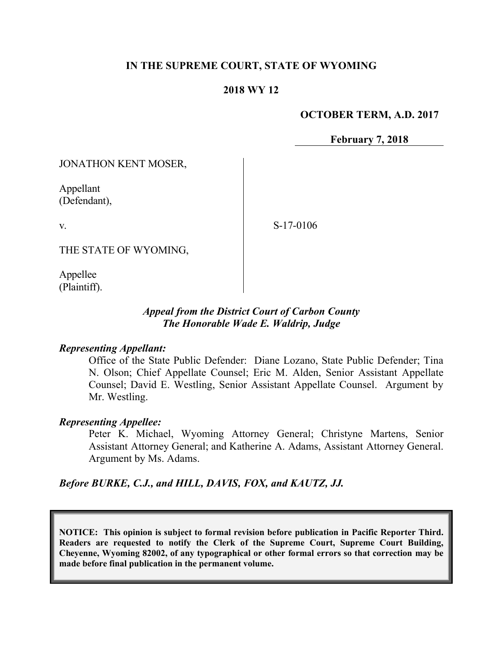### **IN THE SUPREME COURT, STATE OF WYOMING**

### **2018 WY 12**

#### **OCTOBER TERM, A.D. 2017**

**February 7, 2018**

JONATHON KENT MOSER,

Appellant (Defendant),

v.

S-17-0106

THE STATE OF WYOMING,

Appellee (Plaintiff).

## *Appeal from the District Court of Carbon County The Honorable Wade E. Waldrip, Judge*

#### *Representing Appellant:*

Office of the State Public Defender: Diane Lozano, State Public Defender; Tina N. Olson; Chief Appellate Counsel; Eric M. Alden, Senior Assistant Appellate Counsel; David E. Westling, Senior Assistant Appellate Counsel. Argument by Mr. Westling.

#### *Representing Appellee:*

Peter K. Michael, Wyoming Attorney General; Christyne Martens, Senior Assistant Attorney General; and Katherine A. Adams, Assistant Attorney General. Argument by Ms. Adams.

*Before BURKE, C.J., and HILL, DAVIS, FOX, and KAUTZ, JJ.*

**NOTICE: This opinion is subject to formal revision before publication in Pacific Reporter Third. Readers are requested to notify the Clerk of the Supreme Court, Supreme Court Building, Cheyenne, Wyoming 82002, of any typographical or other formal errors so that correction may be made before final publication in the permanent volume.**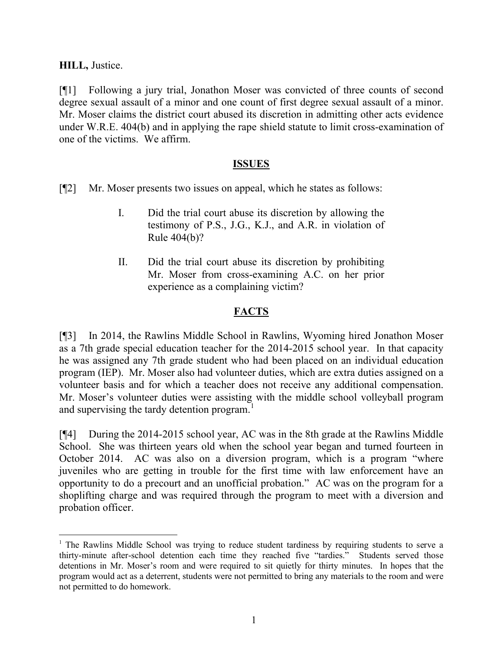**HILL,** Justice.

[¶1] Following a jury trial, Jonathon Moser was convicted of three counts of second degree sexual assault of a minor and one count of first degree sexual assault of a minor. Mr. Moser claims the district court abused its discretion in admitting other acts evidence under W.R.E. 404(b) and in applying the rape shield statute to limit cross-examination of one of the victims. We affirm.

### **ISSUES**

[¶2] Mr. Moser presents two issues on appeal, which he states as follows:

- I. Did the trial court abuse its discretion by allowing the testimony of P.S., J.G., K.J., and A.R. in violation of Rule 404(b)?
- II. Did the trial court abuse its discretion by prohibiting Mr. Moser from cross-examining A.C. on her prior experience as a complaining victim?

# **FACTS**

[¶3] In 2014, the Rawlins Middle School in Rawlins, Wyoming hired Jonathon Moser as a 7th grade special education teacher for the 2014-2015 school year. In that capacity he was assigned any 7th grade student who had been placed on an individual education program (IEP). Mr. Moser also had volunteer duties, which are extra duties assigned on a volunteer basis and for which a teacher does not receive any additional compensation. Mr. Moser's volunteer duties were assisting with the middle school volleyball program and supervising the tardy detention program.<sup>1</sup>

[¶4] During the 2014-2015 school year, AC was in the 8th grade at the Rawlins Middle School. She was thirteen years old when the school year began and turned fourteen in October 2014. AC was also on a diversion program, which is a program "where juveniles who are getting in trouble for the first time with law enforcement have an opportunity to do a precourt and an unofficial probation." AC was on the program for a shoplifting charge and was required through the program to meet with a diversion and probation officer.

 $\overline{a}$ <sup>1</sup> The Rawlins Middle School was trying to reduce student tardiness by requiring students to serve a thirty-minute after-school detention each time they reached five "tardies." Students served those detentions in Mr. Moser's room and were required to sit quietly for thirty minutes. In hopes that the program would act as a deterrent, students were not permitted to bring any materials to the room and were not permitted to do homework.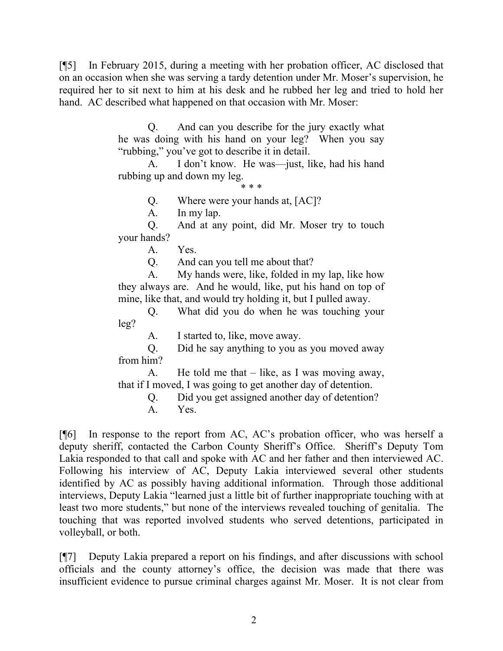[¶5] In February 2015, during a meeting with her probation officer, AC disclosed that on an occasion when she was serving a tardy detention under Mr. Moser's supervision, he required her to sit next to him at his desk and he rubbed her leg and tried to hold her hand. AC described what happened on that occasion with Mr. Moser:

> Q. And can you describe for the jury exactly what he was doing with his hand on your leg? When you say "rubbing," you've got to describe it in detail.

> A. I don't know. He was—just, like, had his hand rubbing up and down my leg.

\* \* \*

Q. Where were your hands at, [AC]?

A. In my lap.

Q. And at any point, did Mr. Moser try to touch your hands?

A. Yes.

Q. And can you tell me about that?

A. My hands were, like, folded in my lap, like how they always are. And he would, like, put his hand on top of mine, like that, and would try holding it, but I pulled away.

Q. What did you do when he was touching your leg?

A. I started to, like, move away.

Q. Did he say anything to you as you moved away from him?

A. He told me that – like, as I was moving away, that if I moved, I was going to get another day of detention.

> Q. Did you get assigned another day of detention? A. Yes.

[¶6] In response to the report from AC, AC's probation officer, who was herself a deputy sheriff, contacted the Carbon County Sheriff's Office. Sheriff's Deputy Tom Lakia responded to that call and spoke with AC and her father and then interviewed AC. Following his interview of AC, Deputy Lakia interviewed several other students identified by AC as possibly having additional information. Through those additional interviews, Deputy Lakia "learned just a little bit of further inappropriate touching with at least two more students," but none of the interviews revealed touching of genitalia. The touching that was reported involved students who served detentions, participated in volleyball, or both.

[¶7] Deputy Lakia prepared a report on his findings, and after discussions with school officials and the county attorney's office, the decision was made that there was insufficient evidence to pursue criminal charges against Mr. Moser. It is not clear from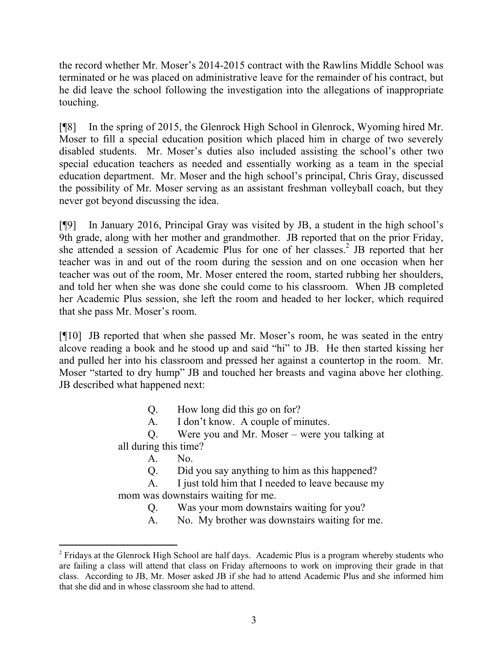the record whether Mr. Moser's 2014-2015 contract with the Rawlins Middle School was terminated or he was placed on administrative leave for the remainder of his contract, but he did leave the school following the investigation into the allegations of inappropriate touching.

[¶8] In the spring of 2015, the Glenrock High School in Glenrock, Wyoming hired Mr. Moser to fill a special education position which placed him in charge of two severely disabled students. Mr. Moser's duties also included assisting the school's other two special education teachers as needed and essentially working as a team in the special education department. Mr. Moser and the high school's principal, Chris Gray, discussed the possibility of Mr. Moser serving as an assistant freshman volleyball coach, but they never got beyond discussing the idea.

[¶9] In January 2016, Principal Gray was visited by JB, a student in the high school's 9th grade, along with her mother and grandmother. JB reported that on the prior Friday, she attended a session of Academic Plus for one of her classes.<sup>2</sup> JB reported that her teacher was in and out of the room during the session and on one occasion when her teacher was out of the room, Mr. Moser entered the room, started rubbing her shoulders, and told her when she was done she could come to his classroom. When JB completed her Academic Plus session, she left the room and headed to her locker, which required that she pass Mr. Moser's room.

[¶10] JB reported that when she passed Mr. Moser's room, he was seated in the entry alcove reading a book and he stood up and said "hi" to JB. He then started kissing her and pulled her into his classroom and pressed her against a countertop in the room. Mr. Moser "started to dry hump" JB and touched her breasts and vagina above her clothing. JB described what happened next:

Q. How long did this go on for?

A. I don't know. A couple of minutes.

Q. Were you and Mr. Moser – were you talking at all during this time?

A. No.

l

Q. Did you say anything to him as this happened?

A. I just told him that I needed to leave because my mom was downstairs waiting for me.

Q. Was your mom downstairs waiting for you?

A. No. My brother was downstairs waiting for me.

<sup>&</sup>lt;sup>2</sup> Fridays at the Glenrock High School are half days. Academic Plus is a program whereby students who are failing a class will attend that class on Friday afternoons to work on improving their grade in that class. According to JB, Mr. Moser asked JB if she had to attend Academic Plus and she informed him that she did and in whose classroom she had to attend.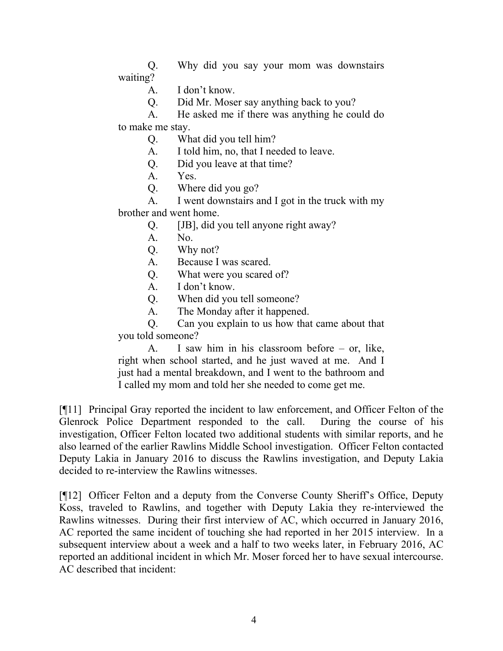Q. Why did you say your mom was downstairs waiting?

A. I don't know.

Q. Did Mr. Moser say anything back to you?

A. He asked me if there was anything he could do to make me stay.

Q. What did you tell him?

A. I told him, no, that I needed to leave.

Q. Did you leave at that time?

A. Yes.

Q. Where did you go?

A. I went downstairs and I got in the truck with my brother and went home.

Q. [JB], did you tell anyone right away?

A. No.

Q. Why not?

A. Because I was scared.

Q. What were you scared of?

A. I don't know.

Q. When did you tell someone?

A. The Monday after it happened.

Q. Can you explain to us how that came about that you told someone?

A. I saw him in his classroom before – or, like, right when school started, and he just waved at me. And I just had a mental breakdown, and I went to the bathroom and I called my mom and told her she needed to come get me.

[¶11] Principal Gray reported the incident to law enforcement, and Officer Felton of the Glenrock Police Department responded to the call. During the course of his investigation, Officer Felton located two additional students with similar reports, and he also learned of the earlier Rawlins Middle School investigation. Officer Felton contacted Deputy Lakia in January 2016 to discuss the Rawlins investigation, and Deputy Lakia decided to re-interview the Rawlins witnesses.

[¶12] Officer Felton and a deputy from the Converse County Sheriff's Office, Deputy Koss, traveled to Rawlins, and together with Deputy Lakia they re-interviewed the Rawlins witnesses. During their first interview of AC, which occurred in January 2016, AC reported the same incident of touching she had reported in her 2015 interview. In a subsequent interview about a week and a half to two weeks later, in February 2016, AC reported an additional incident in which Mr. Moser forced her to have sexual intercourse. AC described that incident: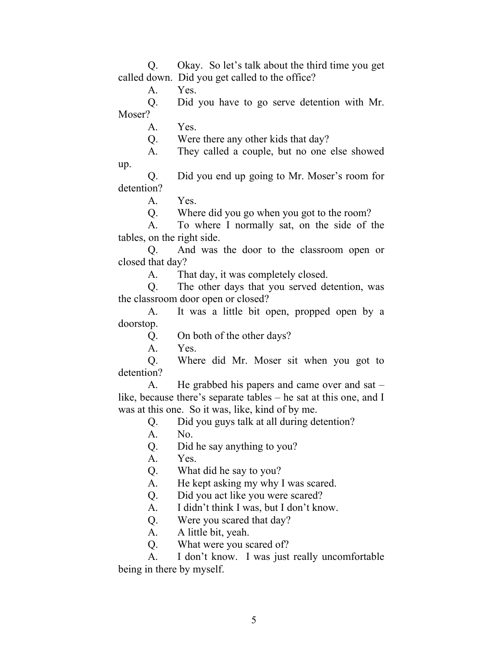Q. Okay. So let's talk about the third time you get called down. Did you get called to the office?

A. Yes.

Q. Did you have to go serve detention with Mr. Moser?

A. Yes.

Q. Were there any other kids that day?

A. They called a couple, but no one else showed

Q. Did you end up going to Mr. Moser's room for detention?

A. Yes.

up.

Q. Where did you go when you got to the room?

A. To where I normally sat, on the side of the tables, on the right side.

Q. And was the door to the classroom open or closed that day?

A. That day, it was completely closed.

Q. The other days that you served detention, was the classroom door open or closed?

A. It was a little bit open, propped open by a doorstop.

Q. On both of the other days?

A. Yes.

Q. Where did Mr. Moser sit when you got to detention?

A. He grabbed his papers and came over and sat – like, because there's separate tables – he sat at this one, and I was at this one. So it was, like, kind of by me.

Q. Did you guys talk at all during detention?

A. No.

Q. Did he say anything to you?

A. Yes.

Q. What did he say to you?

A. He kept asking my why I was scared.

Q. Did you act like you were scared?

A. I didn't think I was, but I don't know.

Q. Were you scared that day?

A. A little bit, yeah.

Q. What were you scared of?

A. I don't know. I was just really uncomfortable being in there by myself.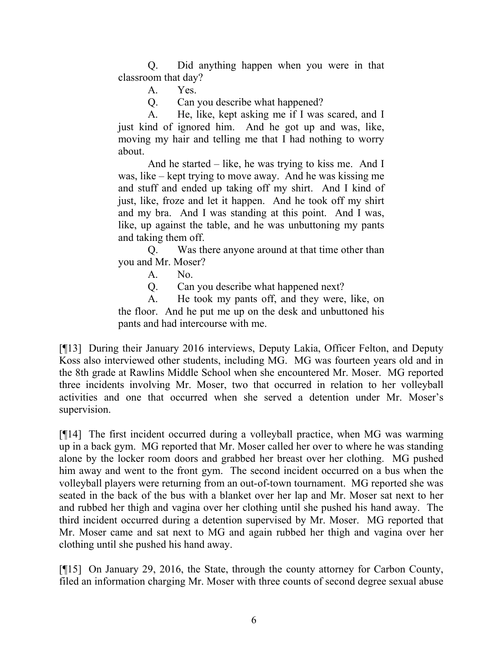Q. Did anything happen when you were in that classroom that day?

A. Yes.

Q. Can you describe what happened?

A. He, like, kept asking me if I was scared, and I just kind of ignored him. And he got up and was, like, moving my hair and telling me that I had nothing to worry about.

And he started – like, he was trying to kiss me. And I was, like – kept trying to move away. And he was kissing me and stuff and ended up taking off my shirt. And I kind of just, like, froze and let it happen. And he took off my shirt and my bra. And I was standing at this point. And I was, like, up against the table, and he was unbuttoning my pants and taking them off.

Q. Was there anyone around at that time other than you and Mr. Moser?

A. No.

Q. Can you describe what happened next?

A. He took my pants off, and they were, like, on the floor. And he put me up on the desk and unbuttoned his pants and had intercourse with me.

[¶13] During their January 2016 interviews, Deputy Lakia, Officer Felton, and Deputy Koss also interviewed other students, including MG. MG was fourteen years old and in the 8th grade at Rawlins Middle School when she encountered Mr. Moser. MG reported three incidents involving Mr. Moser, two that occurred in relation to her volleyball activities and one that occurred when she served a detention under Mr. Moser's supervision.

[¶14] The first incident occurred during a volleyball practice, when MG was warming up in a back gym. MG reported that Mr. Moser called her over to where he was standing alone by the locker room doors and grabbed her breast over her clothing. MG pushed him away and went to the front gym. The second incident occurred on a bus when the volleyball players were returning from an out-of-town tournament. MG reported she was seated in the back of the bus with a blanket over her lap and Mr. Moser sat next to her and rubbed her thigh and vagina over her clothing until she pushed his hand away. The third incident occurred during a detention supervised by Mr. Moser. MG reported that Mr. Moser came and sat next to MG and again rubbed her thigh and vagina over her clothing until she pushed his hand away.

[¶15] On January 29, 2016, the State, through the county attorney for Carbon County, filed an information charging Mr. Moser with three counts of second degree sexual abuse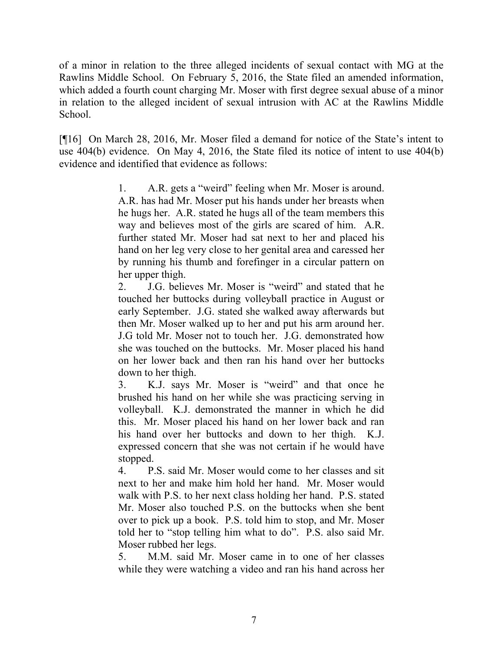of a minor in relation to the three alleged incidents of sexual contact with MG at the Rawlins Middle School. On February 5, 2016, the State filed an amended information, which added a fourth count charging Mr. Moser with first degree sexual abuse of a minor in relation to the alleged incident of sexual intrusion with AC at the Rawlins Middle School.

[¶16] On March 28, 2016, Mr. Moser filed a demand for notice of the State's intent to use 404(b) evidence. On May 4, 2016, the State filed its notice of intent to use 404(b) evidence and identified that evidence as follows:

> 1. A.R. gets a "weird" feeling when Mr. Moser is around. A.R. has had Mr. Moser put his hands under her breasts when he hugs her. A.R. stated he hugs all of the team members this way and believes most of the girls are scared of him. A.R. further stated Mr. Moser had sat next to her and placed his hand on her leg very close to her genital area and caressed her by running his thumb and forefinger in a circular pattern on her upper thigh.

> 2. J.G. believes Mr. Moser is "weird" and stated that he touched her buttocks during volleyball practice in August or early September. J.G. stated she walked away afterwards but then Mr. Moser walked up to her and put his arm around her. J.G told Mr. Moser not to touch her. J.G. demonstrated how she was touched on the buttocks. Mr. Moser placed his hand on her lower back and then ran his hand over her buttocks down to her thigh.

> 3. K.J. says Mr. Moser is "weird" and that once he brushed his hand on her while she was practicing serving in volleyball. K.J. demonstrated the manner in which he did this. Mr. Moser placed his hand on her lower back and ran his hand over her buttocks and down to her thigh. K.J. expressed concern that she was not certain if he would have stopped.

> 4. P.S. said Mr. Moser would come to her classes and sit next to her and make him hold her hand. Mr. Moser would walk with P.S. to her next class holding her hand. P.S. stated Mr. Moser also touched P.S. on the buttocks when she bent over to pick up a book. P.S. told him to stop, and Mr. Moser told her to "stop telling him what to do". P.S. also said Mr. Moser rubbed her legs.

> 5. M.M. said Mr. Moser came in to one of her classes while they were watching a video and ran his hand across her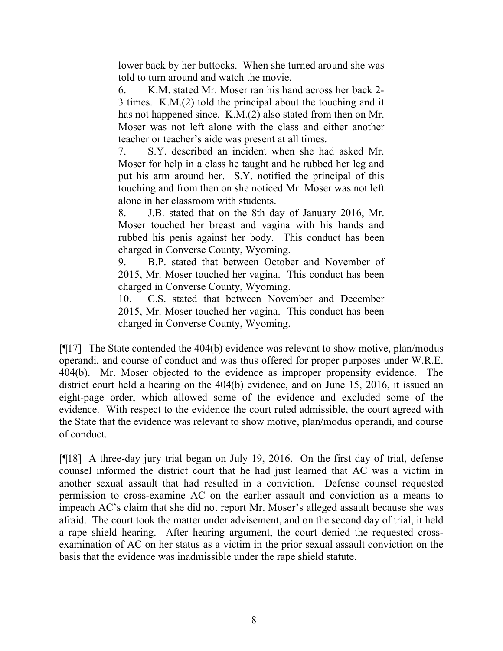lower back by her buttocks. When she turned around she was told to turn around and watch the movie.

6. K.M. stated Mr. Moser ran his hand across her back 2- 3 times. K.M.(2) told the principal about the touching and it has not happened since. K.M.(2) also stated from then on Mr. Moser was not left alone with the class and either another teacher or teacher's aide was present at all times.

7. S.Y. described an incident when she had asked Mr. Moser for help in a class he taught and he rubbed her leg and put his arm around her. S.Y. notified the principal of this touching and from then on she noticed Mr. Moser was not left alone in her classroom with students.

8. J.B. stated that on the 8th day of January 2016, Mr. Moser touched her breast and vagina with his hands and rubbed his penis against her body. This conduct has been charged in Converse County, Wyoming.

9. B.P. stated that between October and November of 2015, Mr. Moser touched her vagina. This conduct has been charged in Converse County, Wyoming.

10. C.S. stated that between November and December 2015, Mr. Moser touched her vagina. This conduct has been charged in Converse County, Wyoming.

[¶17] The State contended the 404(b) evidence was relevant to show motive, plan/modus operandi, and course of conduct and was thus offered for proper purposes under W.R.E. 404(b). Mr. Moser objected to the evidence as improper propensity evidence. The district court held a hearing on the 404(b) evidence, and on June 15, 2016, it issued an eight-page order, which allowed some of the evidence and excluded some of the evidence. With respect to the evidence the court ruled admissible, the court agreed with the State that the evidence was relevant to show motive, plan/modus operandi, and course of conduct.

[¶18] A three-day jury trial began on July 19, 2016. On the first day of trial, defense counsel informed the district court that he had just learned that AC was a victim in another sexual assault that had resulted in a conviction. Defense counsel requested permission to cross-examine AC on the earlier assault and conviction as a means to impeach AC's claim that she did not report Mr. Moser's alleged assault because she was afraid. The court took the matter under advisement, and on the second day of trial, it held a rape shield hearing. After hearing argument, the court denied the requested crossexamination of AC on her status as a victim in the prior sexual assault conviction on the basis that the evidence was inadmissible under the rape shield statute.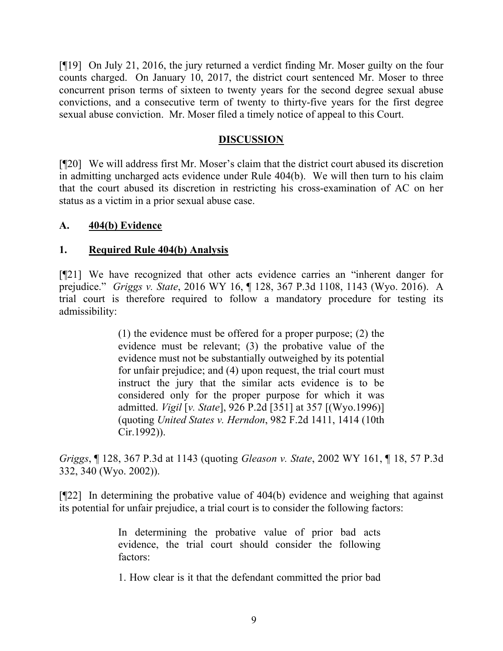[¶19] On July 21, 2016, the jury returned a verdict finding Mr. Moser guilty on the four counts charged. On January 10, 2017, the district court sentenced Mr. Moser to three concurrent prison terms of sixteen to twenty years for the second degree sexual abuse convictions, and a consecutive term of twenty to thirty-five years for the first degree sexual abuse conviction. Mr. Moser filed a timely notice of appeal to this Court.

## **DISCUSSION**

[¶20] We will address first Mr. Moser's claim that the district court abused its discretion in admitting uncharged acts evidence under Rule 404(b). We will then turn to his claim that the court abused its discretion in restricting his cross-examination of AC on her status as a victim in a prior sexual abuse case.

### **A. 404(b) Evidence**

### **1. Required Rule 404(b) Analysis**

[¶21] We have recognized that other acts evidence carries an "inherent danger for prejudice." *Griggs v. State*, 2016 WY 16, ¶ 128, 367 P.3d 1108, 1143 (Wyo. 2016). A trial court is therefore required to follow a mandatory procedure for testing its admissibility:

> (1) the evidence must be offered for a proper purpose; (2) the evidence must be relevant; (3) the probative value of the evidence must not be substantially outweighed by its potential for unfair prejudice; and (4) upon request, the trial court must instruct the jury that the similar acts evidence is to be considered only for the proper purpose for which it was admitted. *Vigil* [*v. State*], 926 P.2d [351] at 357 [(Wyo.1996)] (quoting *United States v. Herndon*, 982 F.2d 1411, 1414 (10th Cir.1992)).

*Griggs*, ¶ 128, 367 P.3d at 1143 (quoting *Gleason v. State*, 2002 WY 161, ¶ 18, 57 P.3d 332, 340 (Wyo. 2002)).

[¶22] In determining the probative value of 404(b) evidence and weighing that against its potential for unfair prejudice, a trial court is to consider the following factors:

> In determining the probative value of prior bad acts evidence, the trial court should consider the following factors:

> 1. How clear is it that the defendant committed the prior bad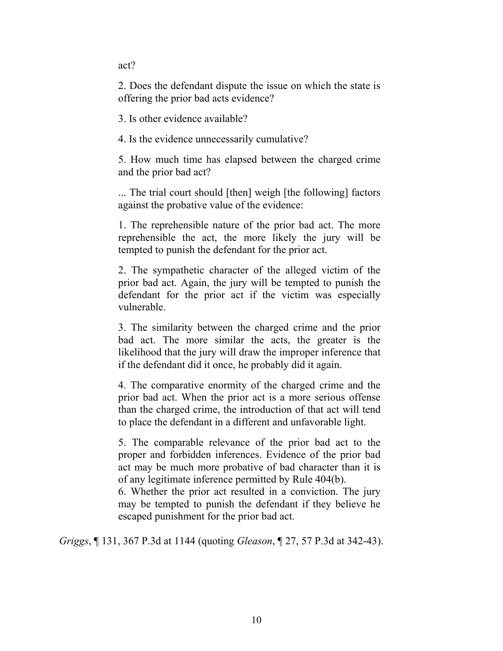act?

2. Does the defendant dispute the issue on which the state is offering the prior bad acts evidence?

3. Is other evidence available?

4. Is the evidence unnecessarily cumulative?

5. How much time has elapsed between the charged crime and the prior bad act?

... The trial court should [then] weigh [the following] factors against the probative value of the evidence:

1. The reprehensible nature of the prior bad act. The more reprehensible the act, the more likely the jury will be tempted to punish the defendant for the prior act.

2. The sympathetic character of the alleged victim of the prior bad act. Again, the jury will be tempted to punish the defendant for the prior act if the victim was especially vulnerable.

3. The similarity between the charged crime and the prior bad act. The more similar the acts, the greater is the likelihood that the jury will draw the improper inference that if the defendant did it once, he probably did it again.

4. The comparative enormity of the charged crime and the prior bad act. When the prior act is a more serious offense than the charged crime, the introduction of that act will tend to place the defendant in a different and unfavorable light.

5. The comparable relevance of the prior bad act to the proper and forbidden inferences. Evidence of the prior bad act may be much more probative of bad character than it is of any legitimate inference permitted by Rule 404(b).

6. Whether the prior act resulted in a conviction. The jury may be tempted to punish the defendant if they believe he escaped punishment for the prior bad act.

*Griggs*, ¶ 131, 367 P.3d at 1144 (quoting *Gleason*, ¶ 27, 57 P.3d at 342-43).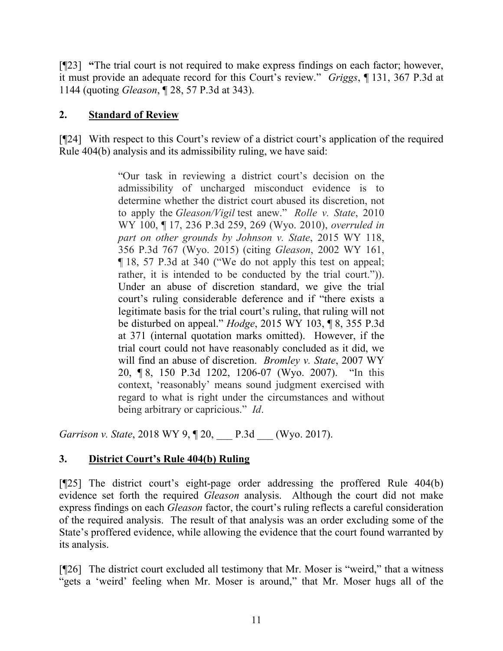[¶23] **"**The trial court is not required to make express findings on each factor; however, it must provide an adequate record for this Court's review." *Griggs*, ¶ 131, 367 P.3d at 1144 (quoting *Gleason*, ¶ 28, 57 P.3d at 343).

# **2. Standard of Review**

[¶24] With respect to this Court's review of a district court's application of the required Rule 404(b) analysis and its admissibility ruling, we have said:

> "Our task in reviewing a district court's decision on the admissibility of uncharged misconduct evidence is to determine whether the district court abused its discretion, not to apply the *Gleason/Vigil* test anew." *Rolle v. State*, 2010 WY 100, ¶ 17, 236 P.3d 259, 269 (Wyo. 2010), *overruled in part on other grounds by Johnson v. State*, 2015 WY 118, 356 P.3d 767 (Wyo. 2015) (citing *Gleason*, 2002 WY 161, ¶ 18, 57 P.3d at 340 ("We do not apply this test on appeal; rather, it is intended to be conducted by the trial court."). Under an abuse of discretion standard, we give the trial court's ruling considerable deference and if "there exists a legitimate basis for the trial court's ruling, that ruling will not be disturbed on appeal." *Hodge*, 2015 WY 103, ¶ 8, 355 P.3d at 371 (internal quotation marks omitted). However, if the trial court could not have reasonably concluded as it did, we will find an abuse of discretion. *Bromley v. State*, 2007 WY 20, ¶ 8, 150 P.3d 1202, 1206-07 (Wyo. 2007). "In this context, 'reasonably' means sound judgment exercised with regard to what is right under the circumstances and without being arbitrary or capricious." *Id*.

*Garrison v. State*, 2018 WY 9, ¶ 20, P.3d (Wyo. 2017).

# **3. District Court's Rule 404(b) Ruling**

[¶25] The district court's eight-page order addressing the proffered Rule 404(b) evidence set forth the required *Gleason* analysis. Although the court did not make express findings on each *Gleason* factor, the court's ruling reflects a careful consideration of the required analysis. The result of that analysis was an order excluding some of the State's proffered evidence, while allowing the evidence that the court found warranted by its analysis.

[¶26] The district court excluded all testimony that Mr. Moser is "weird," that a witness "gets a 'weird' feeling when Mr. Moser is around," that Mr. Moser hugs all of the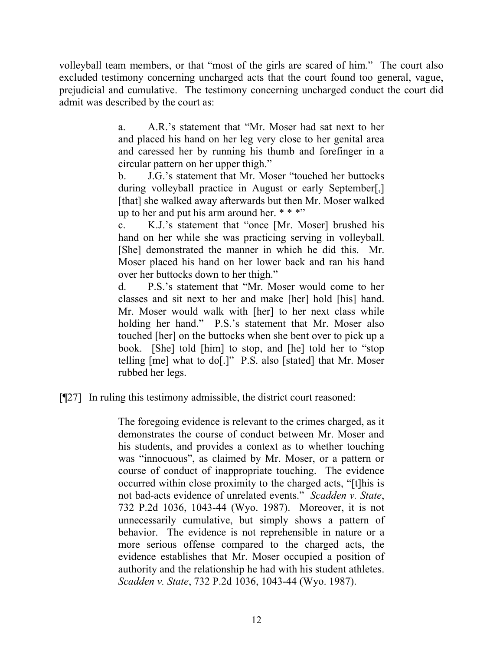volleyball team members, or that "most of the girls are scared of him." The court also excluded testimony concerning uncharged acts that the court found too general, vague, prejudicial and cumulative. The testimony concerning uncharged conduct the court did admit was described by the court as:

> a. A.R.'s statement that "Mr. Moser had sat next to her and placed his hand on her leg very close to her genital area and caressed her by running his thumb and forefinger in a circular pattern on her upper thigh."

> b. J.G.'s statement that Mr. Moser "touched her buttocks during volleyball practice in August or early September[,] [that] she walked away afterwards but then Mr. Moser walked up to her and put his arm around her.  $***$

> c. K.J.'s statement that "once [Mr. Moser] brushed his hand on her while she was practicing serving in volleyball. [She] demonstrated the manner in which he did this. Mr. Moser placed his hand on her lower back and ran his hand over her buttocks down to her thigh."

> d. P.S.'s statement that "Mr. Moser would come to her classes and sit next to her and make [her] hold [his] hand. Mr. Moser would walk with [her] to her next class while holding her hand." P.S.'s statement that Mr. Moser also touched [her] on the buttocks when she bent over to pick up a book. [She] told [him] to stop, and [he] told her to "stop telling [me] what to do[.]" P.S. also [stated] that Mr. Moser rubbed her legs.

[¶27] In ruling this testimony admissible, the district court reasoned:

The foregoing evidence is relevant to the crimes charged, as it demonstrates the course of conduct between Mr. Moser and his students, and provides a context as to whether touching was "innocuous", as claimed by Mr. Moser, or a pattern or course of conduct of inappropriate touching. The evidence occurred within close proximity to the charged acts, "[t]his is not bad-acts evidence of unrelated events." *Scadden v. State*, 732 P.2d 1036, 1043-44 (Wyo. 1987). Moreover, it is not unnecessarily cumulative, but simply shows a pattern of behavior. The evidence is not reprehensible in nature or a more serious offense compared to the charged acts, the evidence establishes that Mr. Moser occupied a position of authority and the relationship he had with his student athletes. *Scadden v. State*, 732 P.2d 1036, 1043-44 (Wyo. 1987).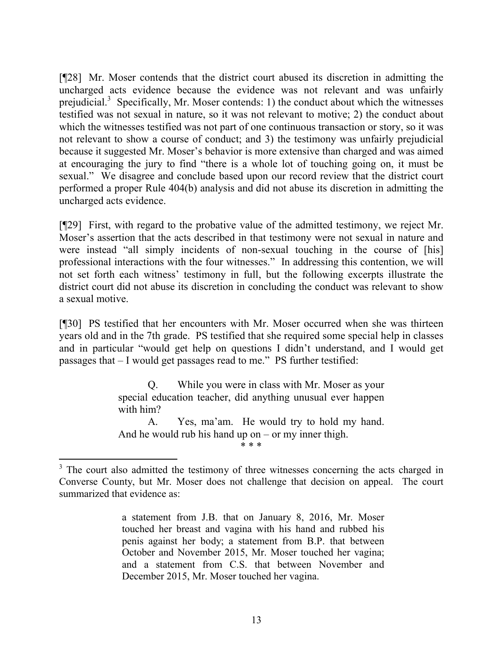[¶28] Mr. Moser contends that the district court abused its discretion in admitting the uncharged acts evidence because the evidence was not relevant and was unfairly prejudicial.<sup>3</sup> Specifically, Mr. Moser contends: 1) the conduct about which the witnesses testified was not sexual in nature, so it was not relevant to motive; 2) the conduct about which the witnesses testified was not part of one continuous transaction or story, so it was not relevant to show a course of conduct; and 3) the testimony was unfairly prejudicial because it suggested Mr. Moser's behavior is more extensive than charged and was aimed at encouraging the jury to find "there is a whole lot of touching going on, it must be sexual." We disagree and conclude based upon our record review that the district court performed a proper Rule 404(b) analysis and did not abuse its discretion in admitting the uncharged acts evidence.

[¶29] First, with regard to the probative value of the admitted testimony, we reject Mr. Moser's assertion that the acts described in that testimony were not sexual in nature and were instead "all simply incidents of non-sexual touching in the course of [his] professional interactions with the four witnesses." In addressing this contention, we will not set forth each witness' testimony in full, but the following excerpts illustrate the district court did not abuse its discretion in concluding the conduct was relevant to show a sexual motive.

[¶30] PS testified that her encounters with Mr. Moser occurred when she was thirteen years old and in the 7th grade. PS testified that she required some special help in classes and in particular "would get help on questions I didn't understand, and I would get passages that – I would get passages read to me." PS further testified:

> Q. While you were in class with Mr. Moser as your special education teacher, did anything unusual ever happen with him?

> A. Yes, ma'am. He would try to hold my hand. And he would rub his hand up on  $-$  or my inner thigh. \* \* \*

l  $3$  The court also admitted the testimony of three witnesses concerning the acts charged in Converse County, but Mr. Moser does not challenge that decision on appeal. The court summarized that evidence as:

a statement from J.B. that on January 8, 2016, Mr. Moser touched her breast and vagina with his hand and rubbed his penis against her body; a statement from B.P. that between October and November 2015, Mr. Moser touched her vagina; and a statement from C.S. that between November and December 2015, Mr. Moser touched her vagina.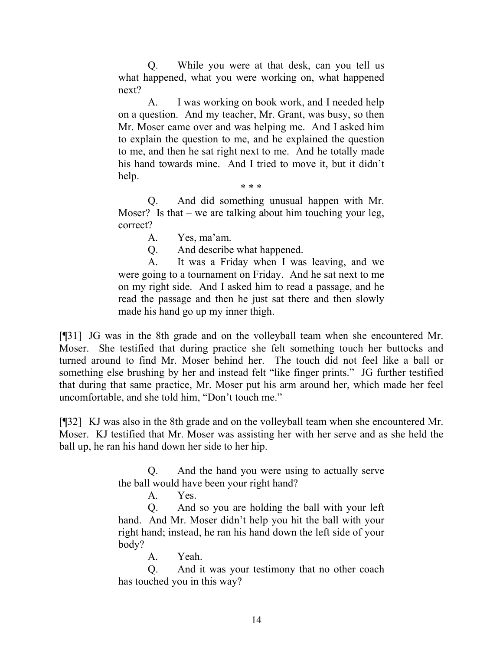Q. While you were at that desk, can you tell us what happened, what you were working on, what happened next?

A. I was working on book work, and I needed help on a question. And my teacher, Mr. Grant, was busy, so then Mr. Moser came over and was helping me. And I asked him to explain the question to me, and he explained the question to me, and then he sat right next to me. And he totally made his hand towards mine. And I tried to move it, but it didn't help.

\* \* \*

Q. And did something unusual happen with Mr. Moser? Is that – we are talking about him touching your leg, correct?

A. Yes, ma'am.

Q. And describe what happened.

A. It was a Friday when I was leaving, and we were going to a tournament on Friday. And he sat next to me on my right side. And I asked him to read a passage, and he read the passage and then he just sat there and then slowly made his hand go up my inner thigh.

[¶31] JG was in the 8th grade and on the volleyball team when she encountered Mr. Moser. She testified that during practice she felt something touch her buttocks and turned around to find Mr. Moser behind her. The touch did not feel like a ball or something else brushing by her and instead felt "like finger prints." JG further testified that during that same practice, Mr. Moser put his arm around her, which made her feel uncomfortable, and she told him, "Don't touch me."

[¶32] KJ was also in the 8th grade and on the volleyball team when she encountered Mr. Moser. KJ testified that Mr. Moser was assisting her with her serve and as she held the ball up, he ran his hand down her side to her hip.

> Q. And the hand you were using to actually serve the ball would have been your right hand?

> > A. Yes.

Q. And so you are holding the ball with your left hand. And Mr. Moser didn't help you hit the ball with your right hand; instead, he ran his hand down the left side of your body?

A. Yeah.

Q. And it was your testimony that no other coach has touched you in this way?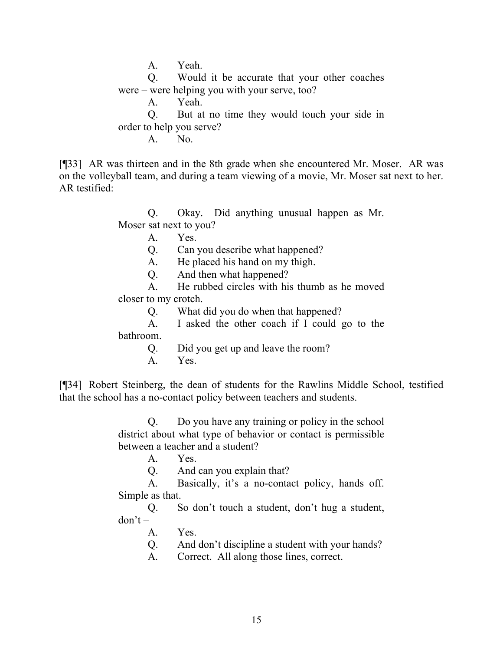A. Yeah.

Q. Would it be accurate that your other coaches were – were helping you with your serve, too?

A. Yeah.

Q. But at no time they would touch your side in order to help you serve?

A. No.

[¶33] AR was thirteen and in the 8th grade when she encountered Mr. Moser. AR was on the volleyball team, and during a team viewing of a movie, Mr. Moser sat next to her. AR testified:

> Q. Okay. Did anything unusual happen as Mr. Moser sat next to you?

> > A. Yes.

Q. Can you describe what happened?

A. He placed his hand on my thigh.

Q. And then what happened?

A. He rubbed circles with his thumb as he moved closer to my crotch.

Q. What did you do when that happened?

A. I asked the other coach if I could go to the

bathroom.

Q. Did you get up and leave the room?

A. Yes.

[¶34] Robert Steinberg, the dean of students for the Rawlins Middle School, testified that the school has a no-contact policy between teachers and students.

> Q. Do you have any training or policy in the school district about what type of behavior or contact is permissible between a teacher and a student?

A. Yes.

Q. And can you explain that?

A. Basically, it's a no-contact policy, hands off. Simple as that.

Q. So don't touch a student, don't hug a student,  $don't -$ 

A. Yes.

Q. And don't discipline a student with your hands?

A. Correct. All along those lines, correct.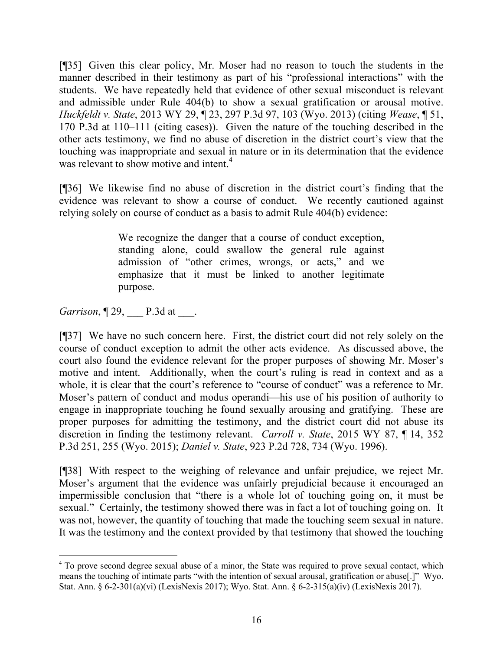[¶35] Given this clear policy, Mr. Moser had no reason to touch the students in the manner described in their testimony as part of his "professional interactions" with the students. We have repeatedly held that evidence of other sexual misconduct is relevant and admissible under Rule 404(b) to show a sexual gratification or arousal motive. *Huckfeldt v. State*, 2013 WY 29, ¶ 23, 297 P.3d 97, 103 (Wyo. 2013) (citing *Wease*, ¶ 51, 170 P.3d at 110–111 (citing cases)). Given the nature of the touching described in the other acts testimony, we find no abuse of discretion in the district court's view that the touching was inappropriate and sexual in nature or in its determination that the evidence was relevant to show motive and intent.<sup>4</sup>

[¶36] We likewise find no abuse of discretion in the district court's finding that the evidence was relevant to show a course of conduct. We recently cautioned against relying solely on course of conduct as a basis to admit Rule 404(b) evidence:

> We recognize the danger that a course of conduct exception, standing alone, could swallow the general rule against admission of "other crimes, wrongs, or acts," and we emphasize that it must be linked to another legitimate purpose.

*Garrison*, **129**, **P.3d at** .

l

[¶37] We have no such concern here. First, the district court did not rely solely on the course of conduct exception to admit the other acts evidence. As discussed above, the court also found the evidence relevant for the proper purposes of showing Mr. Moser's motive and intent. Additionally, when the court's ruling is read in context and as a whole, it is clear that the court's reference to "course of conduct" was a reference to Mr. Moser's pattern of conduct and modus operandi—his use of his position of authority to engage in inappropriate touching he found sexually arousing and gratifying. These are proper purposes for admitting the testimony, and the district court did not abuse its discretion in finding the testimony relevant. *Carroll v. State*, 2015 WY 87, ¶ 14, 352 P.3d 251, 255 (Wyo. 2015); *Daniel v. State*, 923 P.2d 728, 734 (Wyo. 1996).

[¶38] With respect to the weighing of relevance and unfair prejudice, we reject Mr. Moser's argument that the evidence was unfairly prejudicial because it encouraged an impermissible conclusion that "there is a whole lot of touching going on, it must be sexual." Certainly, the testimony showed there was in fact a lot of touching going on. It was not, however, the quantity of touching that made the touching seem sexual in nature. It was the testimony and the context provided by that testimony that showed the touching

<sup>&</sup>lt;sup>4</sup> To prove second degree sexual abuse of a minor, the State was required to prove sexual contact, which means the touching of intimate parts "with the intention of sexual arousal, gratification or abuse[.]" Wyo. Stat. Ann. § 6-2-301(a)(vi) (LexisNexis 2017); Wyo. Stat. Ann. § 6-2-315(a)(iv) (LexisNexis 2017).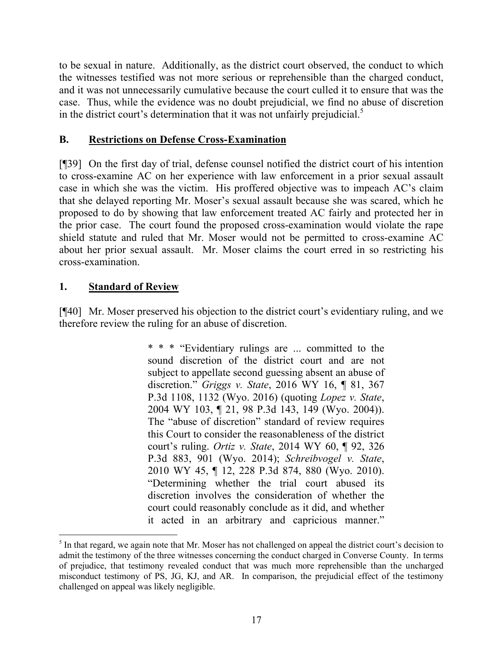to be sexual in nature. Additionally, as the district court observed, the conduct to which the witnesses testified was not more serious or reprehensible than the charged conduct, and it was not unnecessarily cumulative because the court culled it to ensure that was the case. Thus, while the evidence was no doubt prejudicial, we find no abuse of discretion in the district court's determination that it was not unfairly prejudicial.<sup>5</sup>

# **B. Restrictions on Defense Cross-Examination**

[¶39] On the first day of trial, defense counsel notified the district court of his intention to cross-examine AC on her experience with law enforcement in a prior sexual assault case in which she was the victim. His proffered objective was to impeach AC's claim that she delayed reporting Mr. Moser's sexual assault because she was scared, which he proposed to do by showing that law enforcement treated AC fairly and protected her in the prior case. The court found the proposed cross-examination would violate the rape shield statute and ruled that Mr. Moser would not be permitted to cross-examine AC about her prior sexual assault. Mr. Moser claims the court erred in so restricting his cross-examination.

# **1. Standard of Review**

 $\overline{a}$ 

[¶40] Mr. Moser preserved his objection to the district court's evidentiary ruling, and we therefore review the ruling for an abuse of discretion.

> \* \* \* "Evidentiary rulings are ... committed to the sound discretion of the district court and are not subject to appellate second guessing absent an abuse of discretion." *Griggs v. State*, 2016 WY 16, ¶ 81, 367 P.3d 1108, 1132 (Wyo. 2016) (quoting *Lopez v. State*, 2004 WY 103, ¶ 21, 98 P.3d 143, 149 (Wyo. 2004)). The "abuse of discretion" standard of review requires this Court to consider the reasonableness of the district court's ruling. *Ortiz v. State*, 2014 WY 60, ¶ 92, 326 P.3d 883, 901 (Wyo. 2014); *Schreibvogel v. State*, 2010 WY 45, ¶ 12, 228 P.3d 874, 880 (Wyo. 2010). "Determining whether the trial court abused its discretion involves the consideration of whether the court could reasonably conclude as it did, and whether it acted in an arbitrary and capricious manner."

<sup>&</sup>lt;sup>5</sup> In that regard, we again note that Mr. Moser has not challenged on appeal the district court's decision to admit the testimony of the three witnesses concerning the conduct charged in Converse County. In terms of prejudice, that testimony revealed conduct that was much more reprehensible than the uncharged misconduct testimony of PS, JG, KJ, and AR. In comparison, the prejudicial effect of the testimony challenged on appeal was likely negligible.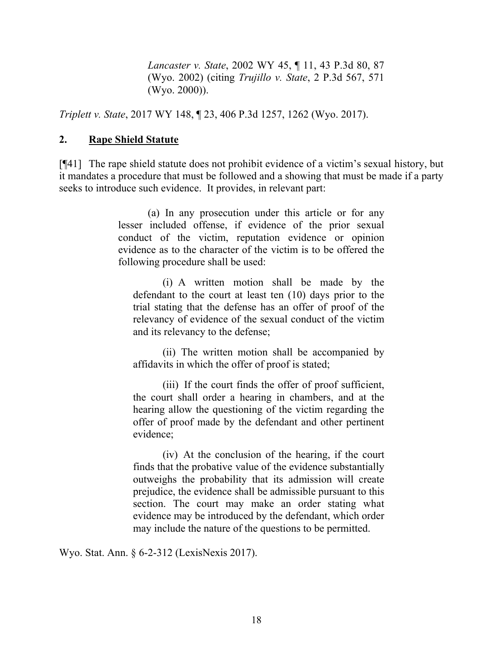*Lancaster v. State*, 2002 WY 45, ¶ 11, 43 P.3d 80, 87 (Wyo. 2002) (citing *Trujillo v. State*, 2 P.3d 567, 571 (Wyo. 2000)).

*Triplett v. State*, 2017 WY 148, ¶ 23, 406 P.3d 1257, 1262 (Wyo. 2017).

### **2. Rape Shield Statute**

[¶41] The rape shield statute does not prohibit evidence of a victim's sexual history, but it mandates a procedure that must be followed and a showing that must be made if a party seeks to introduce such evidence. It provides, in relevant part:

> (a) In any prosecution under this article or for any lesser included offense, if evidence of the prior sexual conduct of the victim, reputation evidence or opinion evidence as to the character of the victim is to be offered the following procedure shall be used:

(i) A written motion shall be made by the defendant to the court at least ten (10) days prior to the trial stating that the defense has an offer of proof of the relevancy of evidence of the sexual conduct of the victim and its relevancy to the defense;

(ii) The written motion shall be accompanied by affidavits in which the offer of proof is stated;

(iii) If the court finds the offer of proof sufficient, the court shall order a hearing in chambers, and at the hearing allow the questioning of the victim regarding the offer of proof made by the defendant and other pertinent evidence;

(iv) At the conclusion of the hearing, if the court finds that the probative value of the evidence substantially outweighs the probability that its admission will create prejudice, the evidence shall be admissible pursuant to this section. The court may make an order stating what evidence may be introduced by the defendant, which order may include the nature of the questions to be permitted.

Wyo. Stat. Ann. § 6-2-312 (LexisNexis 2017).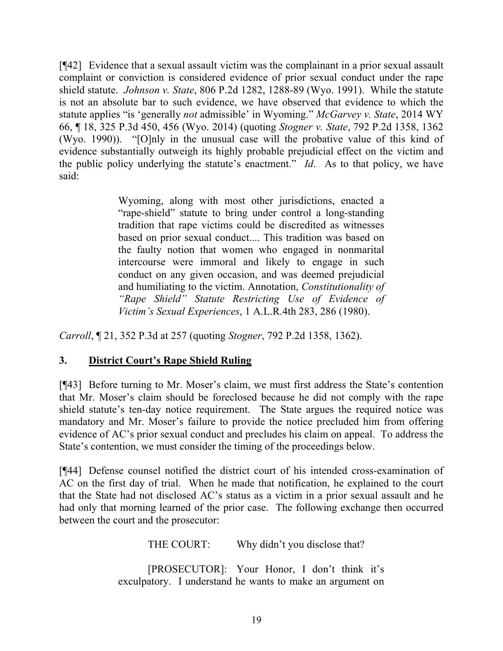[¶42] Evidence that a sexual assault victim was the complainant in a prior sexual assault complaint or conviction is considered evidence of prior sexual conduct under the rape shield statute. *Johnson v. State*, 806 P.2d 1282, 1288-89 (Wyo. 1991). While the statute is not an absolute bar to such evidence, we have observed that evidence to which the statute applies "is 'generally *not* admissible' in Wyoming." *McGarvey v. State*, 2014 WY 66, ¶ 18, 325 P.3d 450, 456 (Wyo. 2014) (quoting *Stogner v. State*, 792 P.2d 1358, 1362 (Wyo. 1990)). "[O]nly in the unusual case will the probative value of this kind of evidence substantially outweigh its highly probable prejudicial effect on the victim and the public policy underlying the statute's enactment." *Id*. As to that policy, we have said:

> Wyoming, along with most other jurisdictions, enacted a "rape-shield" statute to bring under control a long-standing tradition that rape victims could be discredited as witnesses based on prior sexual conduct.... This tradition was based on the faulty notion that women who engaged in nonmarital intercourse were immoral and likely to engage in such conduct on any given occasion, and was deemed prejudicial and humiliating to the victim. Annotation, *Constitutionality of "Rape Shield" Statute Restricting Use of Evidence of Victim's Sexual Experiences*, 1 A.L.R.4th 283, 286 (1980).

*Carroll*, ¶ 21, 352 P.3d at 257 (quoting *Stogner*, 792 P.2d 1358, 1362).

## **3. District Court's Rape Shield Ruling**

[¶43] Before turning to Mr. Moser's claim, we must first address the State's contention that Mr. Moser's claim should be foreclosed because he did not comply with the rape shield statute's ten-day notice requirement. The State argues the required notice was mandatory and Mr. Moser's failure to provide the notice precluded him from offering evidence of AC's prior sexual conduct and precludes his claim on appeal. To address the State's contention, we must consider the timing of the proceedings below.

[¶44] Defense counsel notified the district court of his intended cross-examination of AC on the first day of trial. When he made that notification, he explained to the court that the State had not disclosed AC's status as a victim in a prior sexual assault and he had only that morning learned of the prior case. The following exchange then occurred between the court and the prosecutor:

THE COURT: Why didn't you disclose that?

[PROSECUTOR]: Your Honor, I don't think it's exculpatory. I understand he wants to make an argument on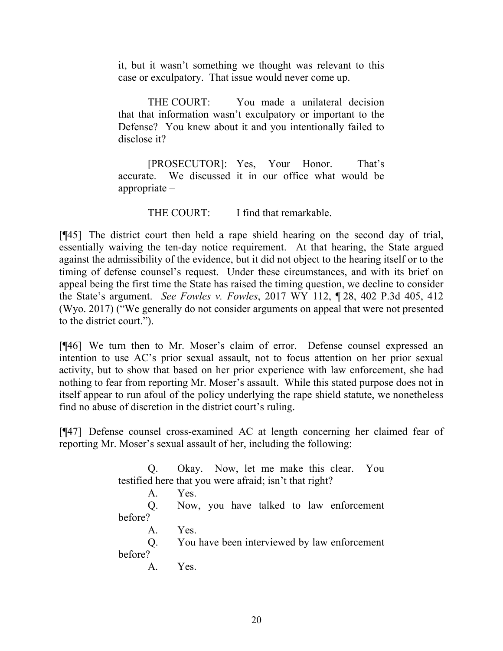it, but it wasn't something we thought was relevant to this case or exculpatory. That issue would never come up.

THE COURT: You made a unilateral decision that that information wasn't exculpatory or important to the Defense? You knew about it and you intentionally failed to disclose it?

[PROSECUTOR]: Yes, Your Honor. That's accurate. We discussed it in our office what would be appropriate –

THE COURT: I find that remarkable.

[¶45] The district court then held a rape shield hearing on the second day of trial, essentially waiving the ten-day notice requirement. At that hearing, the State argued against the admissibility of the evidence, but it did not object to the hearing itself or to the timing of defense counsel's request. Under these circumstances, and with its brief on appeal being the first time the State has raised the timing question, we decline to consider the State's argument. *See Fowles v. Fowles*, 2017 WY 112, ¶ 28, 402 P.3d 405, 412 (Wyo. 2017) ("We generally do not consider arguments on appeal that were not presented to the district court.").

[¶46] We turn then to Mr. Moser's claim of error. Defense counsel expressed an intention to use AC's prior sexual assault, not to focus attention on her prior sexual activity, but to show that based on her prior experience with law enforcement, she had nothing to fear from reporting Mr. Moser's assault. While this stated purpose does not in itself appear to run afoul of the policy underlying the rape shield statute, we nonetheless find no abuse of discretion in the district court's ruling.

[¶47] Defense counsel cross-examined AC at length concerning her claimed fear of reporting Mr. Moser's sexual assault of her, including the following:

> Q. Okay. Now, let me make this clear. You testified here that you were afraid; isn't that right? A. Yes. Q. Now, you have talked to law enforcement before? A. Yes. Q. You have been interviewed by law enforcement before? A. Yes.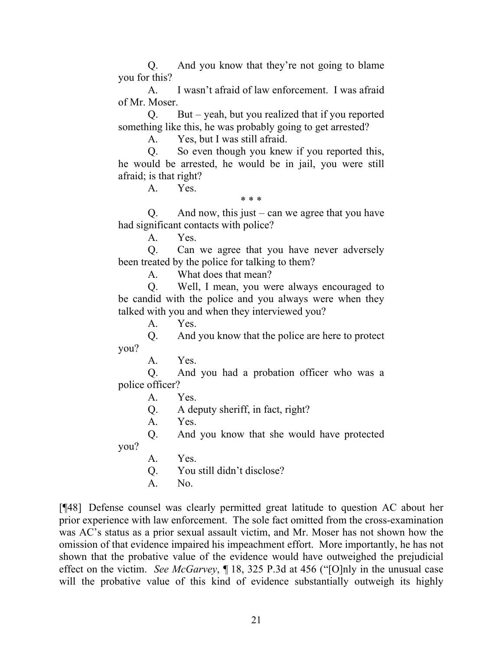Q. And you know that they're not going to blame you for this?

A. I wasn't afraid of law enforcement. I was afraid of Mr. Moser.

Q. But – yeah, but you realized that if you reported something like this, he was probably going to get arrested?

A. Yes, but I was still afraid.

Q. So even though you knew if you reported this, he would be arrested, he would be in jail, you were still afraid; is that right?

A. Yes.

\* \* \*

Q. And now, this just – can we agree that you have had significant contacts with police?

A. Yes.

Q. Can we agree that you have never adversely been treated by the police for talking to them?

A. What does that mean?

Q. Well, I mean, you were always encouraged to be candid with the police and you always were when they talked with you and when they interviewed you?

A. Yes.

Q. And you know that the police are here to protect you?

A. Yes.

Q. And you had a probation officer who was a police officer?

A. Yes.

Q. A deputy sheriff, in fact, right?

A. Yes.

Q. And you know that she would have protected

you?

A. Yes.

Q. You still didn't disclose?

A. No.

[¶48] Defense counsel was clearly permitted great latitude to question AC about her prior experience with law enforcement. The sole fact omitted from the cross-examination was AC's status as a prior sexual assault victim, and Mr. Moser has not shown how the omission of that evidence impaired his impeachment effort. More importantly, he has not shown that the probative value of the evidence would have outweighed the prejudicial effect on the victim. *See McGarvey*, ¶ 18, 325 P.3d at 456 ("[O]nly in the unusual case will the probative value of this kind of evidence substantially outweigh its highly